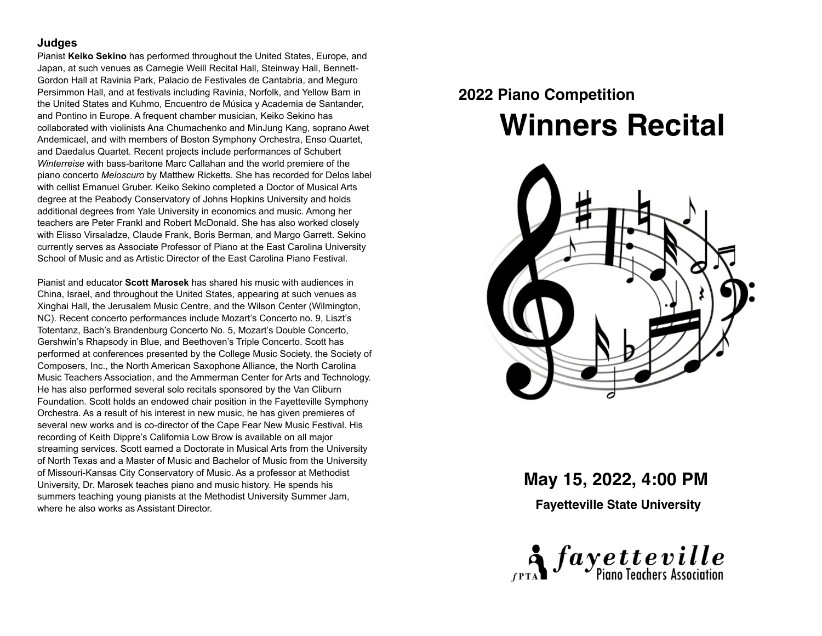#### **Judges**

Pianist **Keiko Sekino** has performed throughout the United States, Europe, and Japan, at such venues as Carnegie Weill Recital Hall, Steinway Hall, Bennett-Gordon Hall at Ravinia Park, Palacio de Festivales de Cantabria, and Meguro Persimmon Hall, and at festivals including Ravinia, Norfolk, and Yellow Barn in the United States and Kuhmo, Encuentro de Música y Academia de Santander, and Pontino in Europe. A frequent chamber musician, Keiko Sekino has collaborated with violinists Ana Chumachenko and MinJung Kang, soprano Awet Andemicael, and with members of Boston Symphony Orchestra, Enso Quartet, and Daedalus Quartet. Recent projects include performances of Schubert *Winterreise* with bass-baritone Marc Callahan and the world premiere of the piano concerto *Meloscuro* by Matthew Ricketts. She has recorded for Delos label with cellist Emanuel Gruber. Keiko Sekino completed a Doctor of Musical Arts degree at the Peabody Conservatory of Johns Hopkins University and holds additional degrees from Yale University in economics and music. Among her teachers are Peter Frankl and Robert McDonald. She has also worked closely with Elisso Virsaladze, Claude Frank, Boris Berman, and Margo Garrett. Sekino currently serves as Associate Professor of Piano at the East Carolina University School of Music and as Artistic Director of the East Carolina Piano Festival.

Pianist and educator **Scott Marosek** has shared his music with audiences in China, Israel, and throughout the United States, appearing at such venues as Xinghai Hall, the Jerusalem Music Centre, and the Wilson Center (Wilmington, NC). Recent concerto performances include Mozart's Concerto no. 9, Liszt's Totentanz, Bach's Brandenburg Concerto No. 5, Mozart's Double Concerto, Gershwin's Rhapsody in Blue, and Beethoven's Triple Concerto. Scott has performed at conferences presented by the College Music Society, the Society of Composers, Inc., the North American Saxophone Alliance, the North Carolina Music Teachers Association, and the Ammerman Center for Arts and Technology. He has also performed several solo recitals sponsored by the Van Cliburn Foundation. Scott holds an endowed chair position in the Fayetteville Symphony Orchestra. As a result of his interest in new music, he has given premieres of several new works and is co-director of the Cape Fear New Music Festival. His recording of Keith Dippre's California Low Brow is available on all major streaming services. Scott earned a Doctorate in Musical Arts from the University of North Texas and a Master of Music and Bachelor of Music from the University of Missouri-Kansas City Conservatory of Music. As a professor at Methodist University, Dr. Marosek teaches piano and music history. He spends his summers teaching young pianists at the Methodist University Summer Jam, where he also works as Assistant Director.

## **2022 Piano Competition**

# **Winners Recital**



 **May 15, 2022, 4:00 PM**

 **Fayetteville State University**